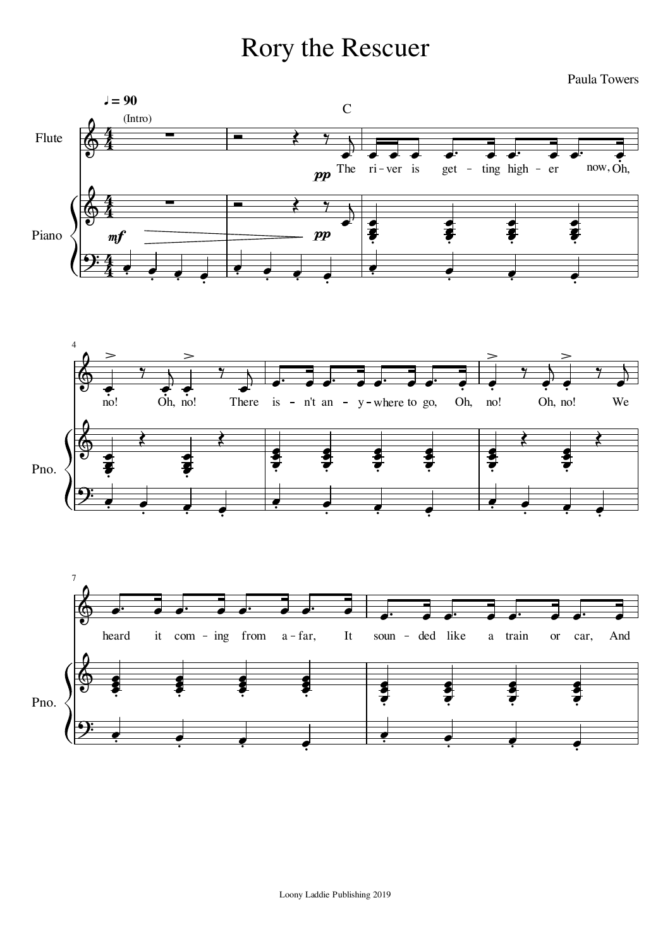## Rory the Rescuer

Paula Towers





 $\overline{\phantom{a}}$ 

 $\frac{1}{2}$  .

 $\overline{\phantom{a}}$ 

 $\frac{1}{2}$  .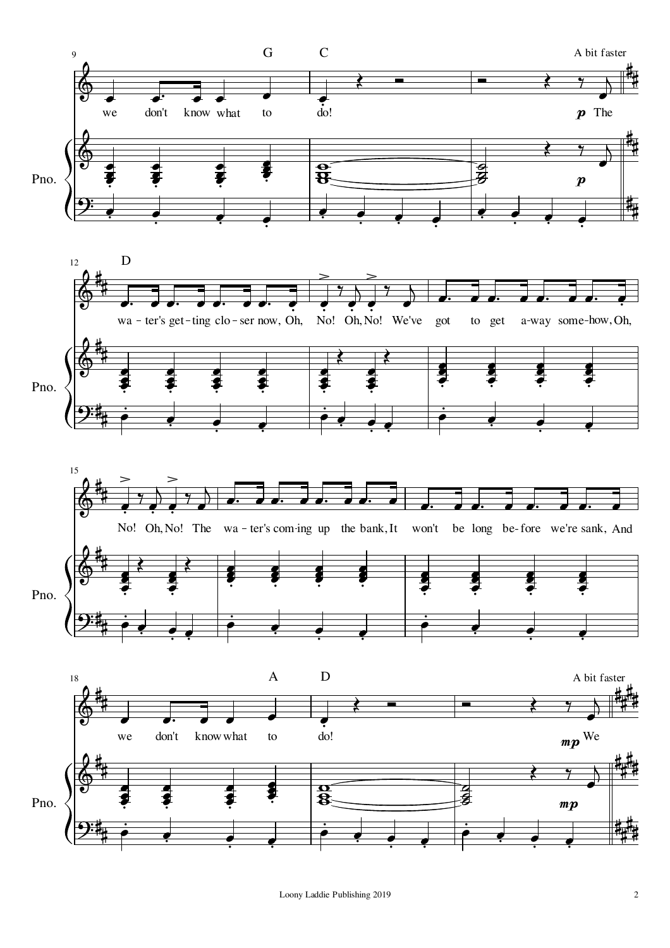

Loony Laddie Publishing 2019 2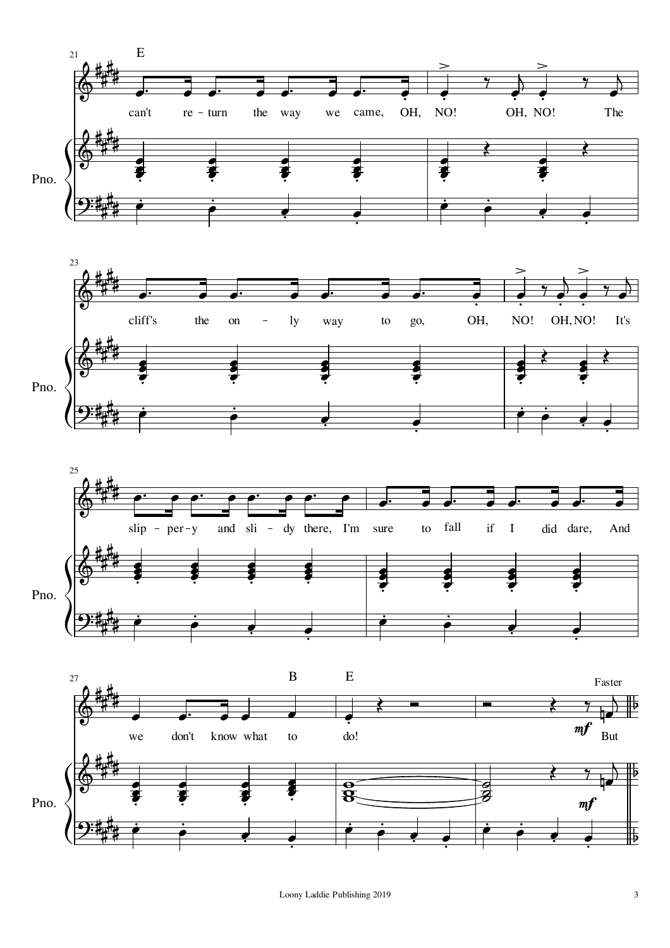





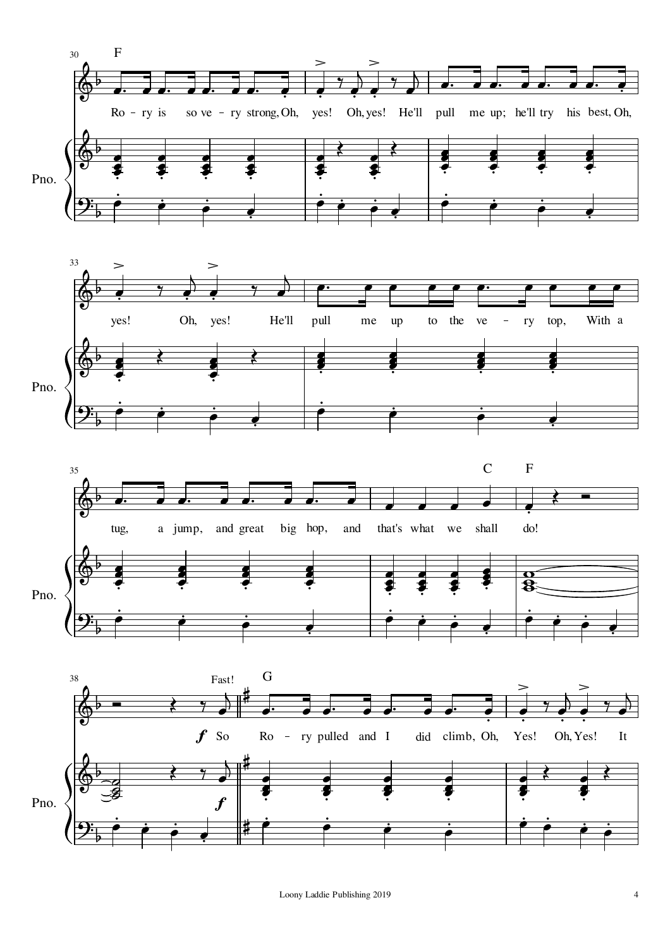



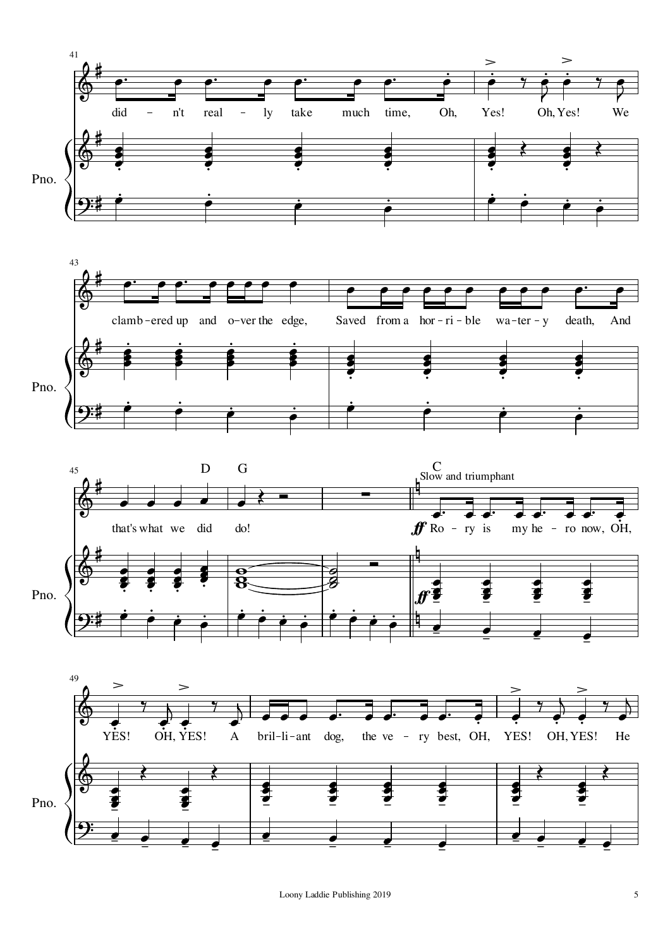